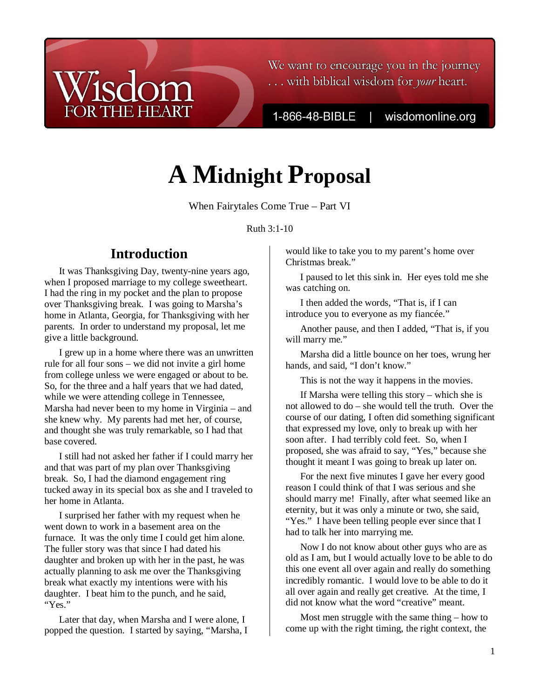### We want to encourage you in the journey ... with biblical wisdom for your heart.

1-866-48-BIBLE

wisdomonline.org

# **A Midnight Proposal**

When Fairytales Come True – Part VI

Ruth 3:1-10

# **Introduction**

**THE HEART** 

 $\overline{c}$ 

It was Thanksgiving Day, twenty-nine years ago, when I proposed marriage to my college sweetheart. I had the ring in my pocket and the plan to propose over Thanksgiving break. I was going to Marsha's home in Atlanta, Georgia, for Thanksgiving with her parents. In order to understand my proposal, let me give a little background.

I grew up in a home where there was an unwritten rule for all four sons – we did not invite a girl home from college unless we were engaged or about to be. So, for the three and a half years that we had dated, while we were attending college in Tennessee, Marsha had never been to my home in Virginia – and she knew why. My parents had met her, of course, and thought she was truly remarkable, so I had that base covered.

I still had not asked her father if I could marry her and that was part of my plan over Thanksgiving break. So, I had the diamond engagement ring tucked away in its special box as she and I traveled to her home in Atlanta.

I surprised her father with my request when he went down to work in a basement area on the furnace. It was the only time I could get him alone. The fuller story was that since I had dated his daughter and broken up with her in the past, he was actually planning to ask me over the Thanksgiving break what exactly my intentions were with his daughter. I beat him to the punch, and he said, "Yes."

Later that day, when Marsha and I were alone, I popped the question. I started by saying, "Marsha, I

would like to take you to my parent's home over Christmas break."

I paused to let this sink in. Her eyes told me she was catching on.

I then added the words, "That is, if I can introduce you to everyone as my fiancée."

Another pause, and then I added, "That is, if you will marry me."

Marsha did a little bounce on her toes, wrung her hands, and said, "I don't know."

This is not the way it happens in the movies.

If Marsha were telling this story – which she is not allowed to do – she would tell the truth. Over the course of our dating, I often did something significant that expressed my love, only to break up with her soon after. I had terribly cold feet. So, when I proposed, she was afraid to say, "Yes," because she thought it meant I was going to break up later on.

For the next five minutes I gave her every good reason I could think of that I was serious and she should marry me! Finally, after what seemed like an eternity, but it was only a minute or two, she said, "Yes." I have been telling people ever since that I had to talk her into marrying me.

Now I do not know about other guys who are as old as I am, but I would actually love to be able to do this one event all over again and really do something incredibly romantic. I would love to be able to do it all over again and really get creative. At the time, I did not know what the word "creative" meant.

Most men struggle with the same thing – how to come up with the right timing, the right context, the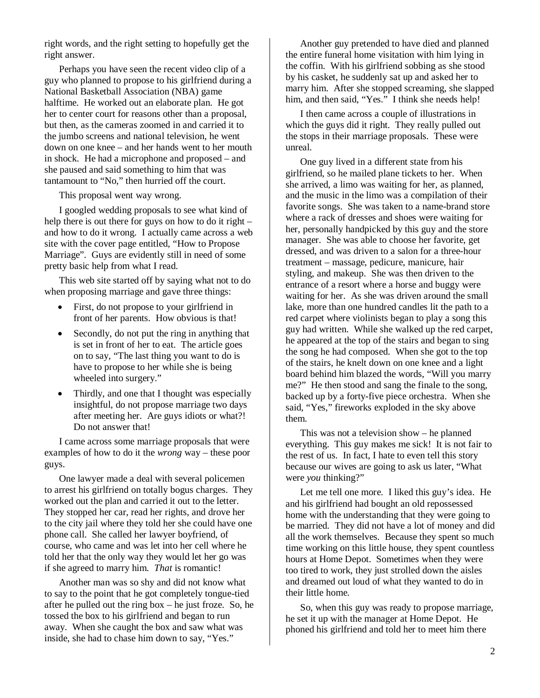right words, and the right setting to hopefully get the right answer.

Perhaps you have seen the recent video clip of a guy who planned to propose to his girlfriend during a National Basketball Association (NBA) game halftime. He worked out an elaborate plan. He got her to center court for reasons other than a proposal, but then, as the cameras zoomed in and carried it to the jumbo screens and national television, he went down on one knee – and her hands went to her mouth in shock. He had a microphone and proposed – and she paused and said something to him that was tantamount to "No," then hurried off the court.

This proposal went way wrong.

I googled wedding proposals to see what kind of help there is out there for guys on how to do it right – and how to do it wrong. I actually came across a web site with the cover page entitled, "How to Propose Marriage". Guys are evidently still in need of some pretty basic help from what I read.

This web site started off by saying what not to do when proposing marriage and gave three things:

- First, do not propose to your girlfriend in front of her parents. How obvious is that!
- Secondly, do not put the ring in anything that is set in front of her to eat. The article goes on to say, "The last thing you want to do is have to propose to her while she is being wheeled into surgery."
- Thirdly, and one that I thought was especially insightful, do not propose marriage two days after meeting her. Are guys idiots or what?! Do not answer that!

I came across some marriage proposals that were examples of how to do it the *wrong* way – these poor guys.

One lawyer made a deal with several policemen to arrest his girlfriend on totally bogus charges. They worked out the plan and carried it out to the letter. They stopped her car, read her rights, and drove her to the city jail where they told her she could have one phone call. She called her lawyer boyfriend, of course, who came and was let into her cell where he told her that the only way they would let her go was if she agreed to marry him. *That* is romantic!

Another man was so shy and did not know what to say to the point that he got completely tongue-tied after he pulled out the ring box – he just froze. So, he tossed the box to his girlfriend and began to run away. When she caught the box and saw what was inside, she had to chase him down to say, "Yes."

Another guy pretended to have died and planned the entire funeral home visitation with him lying in the coffin. With his girlfriend sobbing as she stood by his casket, he suddenly sat up and asked her to marry him. After she stopped screaming, she slapped him, and then said, "Yes." I think she needs help!

I then came across a couple of illustrations in which the guys did it right. They really pulled out the stops in their marriage proposals. These were unreal.

One guy lived in a different state from his girlfriend, so he mailed plane tickets to her. When she arrived, a limo was waiting for her, as planned, and the music in the limo was a compilation of their favorite songs. She was taken to a name-brand store where a rack of dresses and shoes were waiting for her, personally handpicked by this guy and the store manager. She was able to choose her favorite, get dressed, and was driven to a salon for a three-hour treatment – massage, pedicure, manicure, hair styling, and makeup. She was then driven to the entrance of a resort where a horse and buggy were waiting for her. As she was driven around the small lake, more than one hundred candles lit the path to a red carpet where violinists began to play a song this guy had written. While she walked up the red carpet, he appeared at the top of the stairs and began to sing the song he had composed. When she got to the top of the stairs, he knelt down on one knee and a light board behind him blazed the words, "Will you marry me?" He then stood and sang the finale to the song, backed up by a forty-five piece orchestra. When she said, "Yes," fireworks exploded in the sky above them.

This was not a television show – he planned everything. This guy makes me sick! It is not fair to the rest of us. In fact, I hate to even tell this story because our wives are going to ask us later, "What were *you* thinking?"

Let me tell one more. I liked this guy's idea. He and his girlfriend had bought an old repossessed home with the understanding that they were going to be married. They did not have a lot of money and did all the work themselves. Because they spent so much time working on this little house, they spent countless hours at Home Depot. Sometimes when they were too tired to work, they just strolled down the aisles and dreamed out loud of what they wanted to do in their little home.

So, when this guy was ready to propose marriage, he set it up with the manager at Home Depot. He phoned his girlfriend and told her to meet him there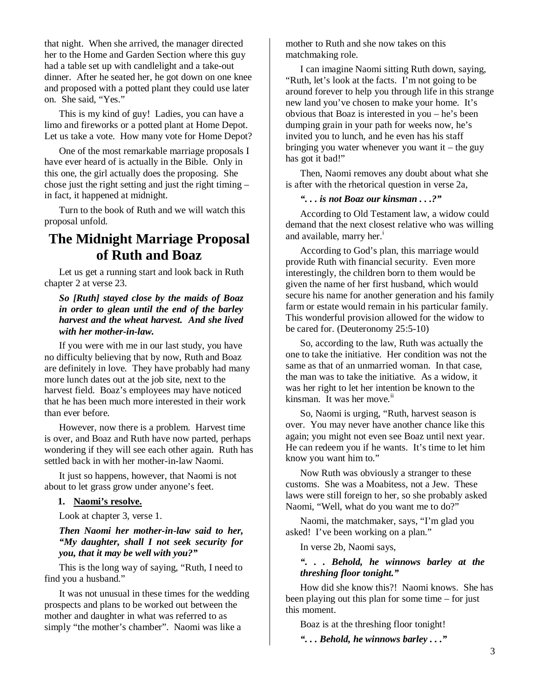that night. When she arrived, the manager directed her to the Home and Garden Section where this guy had a table set up with candlelight and a take-out dinner. After he seated her, he got down on one knee and proposed with a potted plant they could use later on. She said, "Yes."

This is my kind of guy! Ladies, you can have a limo and fireworks or a potted plant at Home Depot. Let us take a vote. How many vote for Home Depot?

One of the most remarkable marriage proposals I have ever heard of is actually in the Bible. Only in this one, the girl actually does the proposing. She chose just the right setting and just the right timing – in fact, it happened at midnight.

Turn to the book of Ruth and we will watch this proposal unfold.

## **The Midnight Marriage Proposal of Ruth and Boaz**

Let us get a running start and look back in Ruth chapter 2 at verse 23.

*So [Ruth] stayed close by the maids of Boaz in order to glean until the end of the barley harvest and the wheat harvest. And she lived with her mother-in-law.* 

If you were with me in our last study, you have no difficulty believing that by now, Ruth and Boaz are definitely in love. They have probably had many more lunch dates out at the job site, next to the harvest field. Boaz's employees may have noticed that he has been much more interested in their work than ever before.

However, now there is a problem. Harvest time is over, and Boaz and Ruth have now parted, perhaps wondering if they will see each other again. Ruth has settled back in with her mother-in-law Naomi.

It just so happens, however, that Naomi is not about to let grass grow under anyone's feet.

#### **1. Naomi's resolve.**

Look at chapter 3, verse 1.

#### *Then Naomi her mother-in-law said to her, "My daughter, shall I not seek security for you, that it may be well with you?"*

This is the long way of saying, "Ruth, I need to find you a husband."

It was not unusual in these times for the wedding prospects and plans to be worked out between the mother and daughter in what was referred to as simply "the mother's chamber". Naomi was like a

mother to Ruth and she now takes on this matchmaking role.

I can imagine Naomi sitting Ruth down, saying, "Ruth, let's look at the facts. I'm not going to be around forever to help you through life in this strange new land you've chosen to make your home. It's obvious that Boaz is interested in you – he's been dumping grain in your path for weeks now, he's invited you to lunch, and he even has his staff bringing you water whenever you want it – the guy has got it bad!"

Then, Naomi removes any doubt about what she is after with the rhetorical question in verse 2a,

#### *". . . is not Boaz our kinsman . . .?"*

According to Old Testament law, a widow could demand that the next closest relative who was willing and available, marry her.<sup>1</sup>

According to God's plan, this marriage would provide Ruth with financial security. Even more interestingly, the children born to them would be given the name of her first husband, which would secure his name for another generation and his family farm or estate would remain in his particular family. This wonderful provision allowed for the widow to be cared for. (Deuteronomy 25:5-10)

So, according to the law, Ruth was actually the one to take the initiative. Her condition was not the same as that of an unmarried woman. In that case, the man was to take the initiative. As a widow, it was her right to let her intention be known to the kinsman. It was her move.<sup>ii</sup>

So, Naomi is urging, "Ruth, harvest season is over. You may never have another chance like this again; you might not even see Boaz until next year. He can redeem you if he wants. It's time to let him know you want him to."

Now Ruth was obviously a stranger to these customs. She was a Moabitess, not a Jew. These laws were still foreign to her, so she probably asked Naomi, "Well, what do you want me to do?"

Naomi, the matchmaker, says, "I'm glad you asked! I've been working on a plan."

In verse 2b, Naomi says,

#### *". . . Behold, he winnows barley at the threshing floor tonight."*

How did she know this?! Naomi knows. She has been playing out this plan for some time – for just this moment.

Boaz is at the threshing floor tonight!

*". . . Behold, he winnows barley . . ."*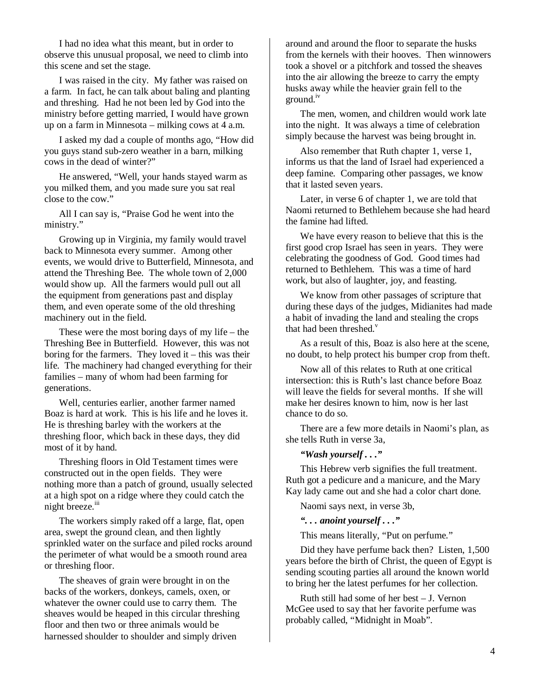I had no idea what this meant, but in order to observe this unusual proposal, we need to climb into this scene and set the stage.

I was raised in the city. My father was raised on a farm. In fact, he can talk about baling and planting and threshing. Had he not been led by God into the ministry before getting married, I would have grown up on a farm in Minnesota – milking cows at 4 a.m.

I asked my dad a couple of months ago, "How did you guys stand sub-zero weather in a barn, milking cows in the dead of winter?"

He answered, "Well, your hands stayed warm as you milked them, and you made sure you sat real close to the cow."

All I can say is, "Praise God he went into the ministry."

Growing up in Virginia, my family would travel back to Minnesota every summer. Among other events, we would drive to Butterfield, Minnesota, and attend the Threshing Bee. The whole town of 2,000 would show up. All the farmers would pull out all the equipment from generations past and display them, and even operate some of the old threshing machinery out in the field.

These were the most boring days of my life – the Threshing Bee in Butterfield. However, this was not boring for the farmers. They loved it – this was their life. The machinery had changed everything for their families – many of whom had been farming for generations.

Well, centuries earlier, another farmer named Boaz is hard at work. This is his life and he loves it. He is threshing barley with the workers at the threshing floor, which back in these days, they did most of it by hand.

Threshing floors in Old Testament times were constructed out in the open fields. They were nothing more than a patch of ground, usually selected at a high spot on a ridge where they could catch the night breeze.<sup>iii</sup>

The workers simply raked off a large, flat, open area, swept the ground clean, and then lightly sprinkled water on the surface and piled rocks around the perimeter of what would be a smooth round area or threshing floor.

The sheaves of grain were brought in on the backs of the workers, donkeys, camels, oxen, or whatever the owner could use to carry them. The sheaves would be heaped in this circular threshing floor and then two or three animals would be harnessed shoulder to shoulder and simply driven

around and around the floor to separate the husks from the kernels with their hooves. Then winnowers took a shovel or a pitchfork and tossed the sheaves into the air allowing the breeze to carry the empty husks away while the heavier grain fell to the ground.<sup>iv</sup>

The men, women, and children would work late into the night. It was always a time of celebration simply because the harvest was being brought in.

Also remember that Ruth chapter 1, verse 1, informs us that the land of Israel had experienced a deep famine. Comparing other passages, we know that it lasted seven years.

Later, in verse 6 of chapter 1, we are told that Naomi returned to Bethlehem because she had heard the famine had lifted.

We have every reason to believe that this is the first good crop Israel has seen in years. They were celebrating the goodness of God. Good times had returned to Bethlehem. This was a time of hard work, but also of laughter, joy, and feasting.

We know from other passages of scripture that during these days of the judges, Midianites had made a habit of invading the land and stealing the crops that had been threshed. $<sup>v</sup>$ </sup>

As a result of this, Boaz is also here at the scene, no doubt, to help protect his bumper crop from theft.

Now all of this relates to Ruth at one critical intersection: this is Ruth's last chance before Boaz will leave the fields for several months. If she will make her desires known to him, now is her last chance to do so.

There are a few more details in Naomi's plan, as she tells Ruth in verse 3a,

#### *"Wash yourself . . ."*

This Hebrew verb signifies the full treatment. Ruth got a pedicure and a manicure, and the Mary Kay lady came out and she had a color chart done.

Naomi says next, in verse 3b,

*". . . anoint yourself . . ."* 

This means literally, "Put on perfume."

Did they have perfume back then? Listen, 1,500 years before the birth of Christ, the queen of Egypt is sending scouting parties all around the known world to bring her the latest perfumes for her collection.

Ruth still had some of her best – J. Vernon McGee used to say that her favorite perfume was probably called, "Midnight in Moab".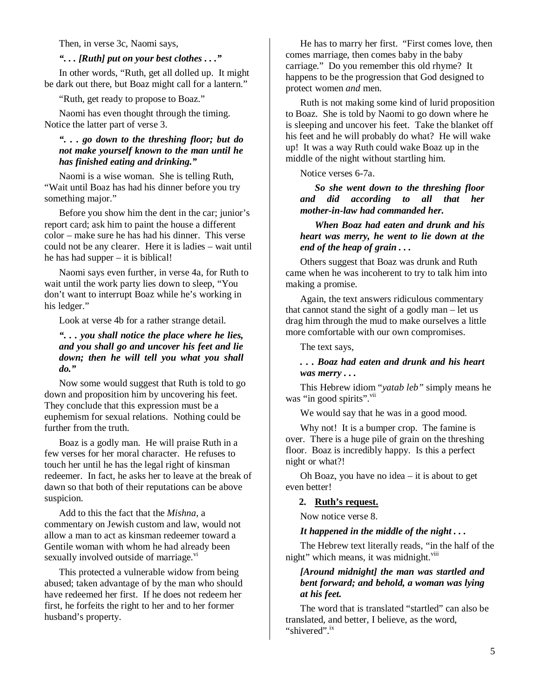Then, in verse 3c, Naomi says,

#### *". . . [Ruth] put on your best clothes . . ."*

In other words, "Ruth, get all dolled up. It might be dark out there, but Boaz might call for a lantern."

"Ruth, get ready to propose to Boaz."

Naomi has even thought through the timing. Notice the latter part of verse 3.

#### *". . . go down to the threshing floor; but do not make yourself known to the man until he has finished eating and drinking."*

Naomi is a wise woman. She is telling Ruth, "Wait until Boaz has had his dinner before you try something major."

Before you show him the dent in the car; junior's report card; ask him to paint the house a different color – make sure he has had his dinner. This verse could not be any clearer. Here it is ladies – wait until he has had supper – it is biblical!

Naomi says even further, in verse 4a, for Ruth to wait until the work party lies down to sleep, "You don't want to interrupt Boaz while he's working in his ledger."

Look at verse 4b for a rather strange detail.

#### *". . . you shall notice the place where he lies, and you shall go and uncover his feet and lie down; then he will tell you what you shall do."*

Now some would suggest that Ruth is told to go down and proposition him by uncovering his feet. They conclude that this expression must be a euphemism for sexual relations. Nothing could be further from the truth.

Boaz is a godly man. He will praise Ruth in a few verses for her moral character. He refuses to touch her until he has the legal right of kinsman redeemer. In fact, he asks her to leave at the break of dawn so that both of their reputations can be above suspicion.

Add to this the fact that the *Mishna*, a commentary on Jewish custom and law, would not allow a man to act as kinsman redeemer toward a Gentile woman with whom he had already been sexually involved outside of marriage.<sup>vi</sup>

This protected a vulnerable widow from being abused; taken advantage of by the man who should have redeemed her first. If he does not redeem her first, he forfeits the right to her and to her former husband's property.

He has to marry her first. "First comes love, then comes marriage, then comes baby in the baby carriage." Do you remember this old rhyme? It happens to be the progression that God designed to protect women *and* men.

Ruth is not making some kind of lurid proposition to Boaz. She is told by Naomi to go down where he is sleeping and uncover his feet. Take the blanket off his feet and he will probably do what? He will wake up! It was a way Ruth could wake Boaz up in the middle of the night without startling him.

Notice verses 6-7a.

*So she went down to the threshing floor and did according to all that her mother-in-law had commanded her.* 

*When Boaz had eaten and drunk and his heart was merry, he went to lie down at the end of the heap of grain . . .* 

Others suggest that Boaz was drunk and Ruth came when he was incoherent to try to talk him into making a promise.

Again, the text answers ridiculous commentary that cannot stand the sight of a godly man – let us drag him through the mud to make ourselves a little more comfortable with our own compromises.

#### The text says,

#### *. . . Boaz had eaten and drunk and his heart was merry . . .*

This Hebrew idiom "*yatab leb"* simply means he was "in good spirits". Vii

We would say that he was in a good mood.

Why not! It is a bumper crop. The famine is over. There is a huge pile of grain on the threshing floor. Boaz is incredibly happy. Is this a perfect night or what?!

Oh Boaz, you have no idea – it is about to get even better!

#### **2. Ruth's request.**

Now notice verse 8.

#### *It happened in the middle of the night . . .*

The Hebrew text literally reads, "in the half of the night" which means, it was midnight.<sup>viii</sup>

#### *[Around midnight] the man was startled and bent forward; and behold, a woman was lying at his feet.*

The word that is translated "startled" can also be translated, and better, I believe, as the word, "shivered".<sup>ix</sup>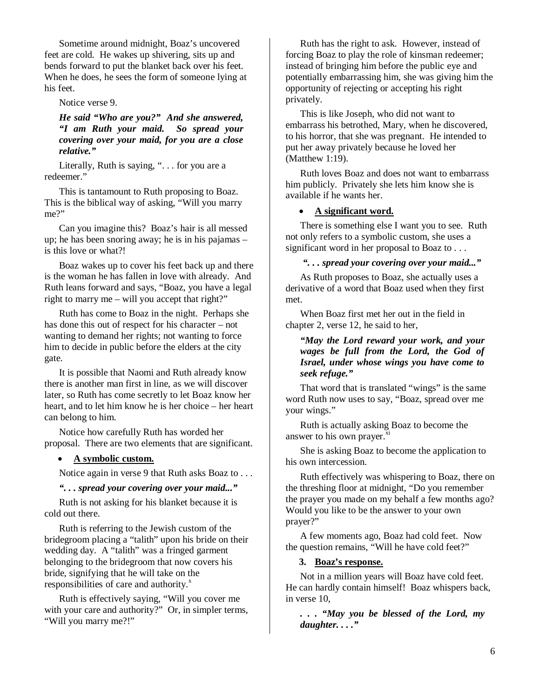Sometime around midnight, Boaz's uncovered feet are cold. He wakes up shivering, sits up and bends forward to put the blanket back over his feet. When he does, he sees the form of someone lying at his feet.

Notice verse 9.

*He said "Who are you?" And she answered, "I am Ruth your maid. So spread your covering over your maid, for you are a close relative."* 

Literally, Ruth is saying, "... for you are a redeemer."

This is tantamount to Ruth proposing to Boaz. This is the biblical way of asking, "Will you marry me?"

Can you imagine this? Boaz's hair is all messed up; he has been snoring away; he is in his pajamas – is this love or what?!

Boaz wakes up to cover his feet back up and there is the woman he has fallen in love with already. And Ruth leans forward and says, "Boaz, you have a legal right to marry me – will you accept that right?"

Ruth has come to Boaz in the night. Perhaps she has done this out of respect for his character – not wanting to demand her rights; not wanting to force him to decide in public before the elders at the city gate.

It is possible that Naomi and Ruth already know there is another man first in line, as we will discover later, so Ruth has come secretly to let Boaz know her heart, and to let him know he is her choice – her heart can belong to him.

Notice how carefully Ruth has worded her proposal. There are two elements that are significant.

#### • **A symbolic custom.**

Notice again in verse 9 that Ruth asks Boaz to . . .

#### *". . . spread your covering over your maid..."*

Ruth is not asking for his blanket because it is cold out there.

Ruth is referring to the Jewish custom of the bridegroom placing a "talith" upon his bride on their wedding day. A "talith" was a fringed garment belonging to the bridegroom that now covers his bride, signifying that he will take on the responsibilities of care and authority. $x^x$ 

Ruth is effectively saying, "Will you cover me with your care and authority?" Or, in simpler terms, "Will you marry me?!"

Ruth has the right to ask. However, instead of forcing Boaz to play the role of kinsman redeemer; instead of bringing him before the public eye and potentially embarrassing him, she was giving him the opportunity of rejecting or accepting his right privately.

This is like Joseph, who did not want to embarrass his betrothed, Mary, when he discovered, to his horror, that she was pregnant. He intended to put her away privately because he loved her (Matthew 1:19).

Ruth loves Boaz and does not want to embarrass him publicly. Privately she lets him know she is available if he wants her.

#### • **A significant word.**

There is something else I want you to see. Ruth not only refers to a symbolic custom, she uses a significant word in her proposal to Boaz to . . .

#### *". . . spread your covering over your maid..."*

As Ruth proposes to Boaz, she actually uses a derivative of a word that Boaz used when they first met.

When Boaz first met her out in the field in chapter 2, verse 12, he said to her,

#### *"May the Lord reward your work, and your wages be full from the Lord, the God of Israel, under whose wings you have come to seek refuge."*

That word that is translated "wings" is the same word Ruth now uses to say, "Boaz, spread over me your wings."

Ruth is actually asking Boaz to become the answer to his own prayer.<sup>xi</sup>

She is asking Boaz to become the application to his own intercession.

Ruth effectively was whispering to Boaz, there on the threshing floor at midnight, "Do you remember the prayer you made on my behalf a few months ago? Would you like to be the answer to your own prayer?"

A few moments ago, Boaz had cold feet. Now the question remains, "Will he have cold feet?"

#### **3. Boaz's response.**

Not in a million years will Boaz have cold feet. He can hardly contain himself! Boaz whispers back, in verse 10,

*. . . "May you be blessed of the Lord, my daughter. . . ."*